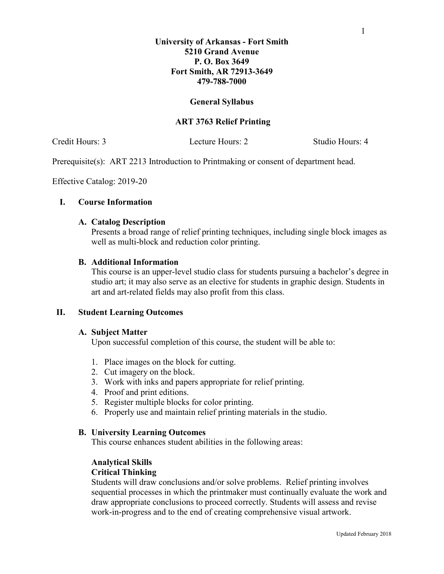# **University of Arkansas - Fort Smith 5210 Grand Avenue P. O. Box 3649 Fort Smith, AR 72913-3649 479-788-7000**

# **General Syllabus**

# **ART 3763 Relief Printing**

Credit Hours: 3 Lecture Hours: 2 Studio Hours: 4

Prerequisite(s): ART 2213 Introduction to Printmaking or consent of department head.

Effective Catalog: 2019-20

### **I. Course Information**

#### **A. Catalog Description**

Presents a broad range of relief printing techniques, including single block images as well as multi-block and reduction color printing.

### **B. Additional Information**

This course is an upper-level studio class for students pursuing a bachelor's degree in studio art; it may also serve as an elective for students in graphic design. Students in art and art-related fields may also profit from this class.

# **II. Student Learning Outcomes**

#### **A. Subject Matter**

Upon successful completion of this course, the student will be able to:

- 1. Place images on the block for cutting.
- 2. Cut imagery on the block.
- 3. Work with inks and papers appropriate for relief printing.
- 4. Proof and print editions.
- 5. Register multiple blocks for color printing.
- 6. Properly use and maintain relief printing materials in the studio.

#### **B. University Learning Outcomes**

This course enhances student abilities in the following areas:

# **Analytical Skills**

#### **Critical Thinking**

Students will draw conclusions and/or solve problems. Relief printing involves sequential processes in which the printmaker must continually evaluate the work and draw appropriate conclusions to proceed correctly. Students will assess and revise work-in-progress and to the end of creating comprehensive visual artwork.